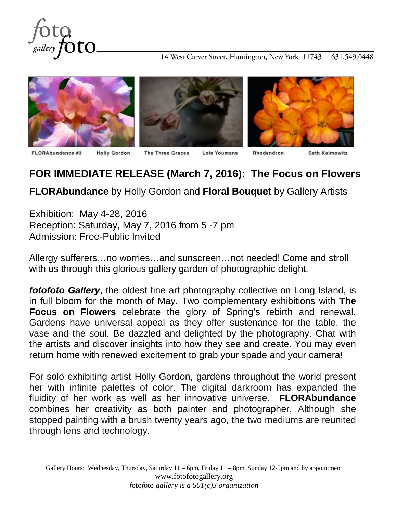

14 West Carver Street, Huntington, New York 11743 631.549.0448



## **FOR IMMEDIATE RELEASE (March 7, 2016): The Focus on Flowers**

**FLORAbundance** by Holly Gordon and **Floral Bouquet** by Gallery Artists

Exhibition: May 4-28, 2016 Reception: Saturday, May 7, 2016 from 5 -7 pm Admission: Free-Public Invited

Allergy sufferers…no worries…and sunscreen…not needed! Come and stroll with us through this glorious gallery garden of photographic delight.

*fotofoto Gallery*, the oldest fine art photography collective on Long Island, is in full bloom for the month of May. Two complementary exhibitions with **The Focus on Flowers** celebrate the glory of Spring's rebirth and renewal. Gardens have universal appeal as they offer sustenance for the table, the vase and the soul. Be dazzled and delighted by the photography. Chat with the artists and discover insights into how they see and create. You may even return home with renewed excitement to grab your spade and your camera!

For solo exhibiting artist Holly Gordon, gardens throughout the world present her with infinite palettes of color. The digital darkroom has expanded the fluidity of her work as well as her innovative universe. **FLORAbundance** combines her creativity as both painter and photographer. Although she stopped painting with a brush twenty years ago, the two mediums are reunited through lens and technology.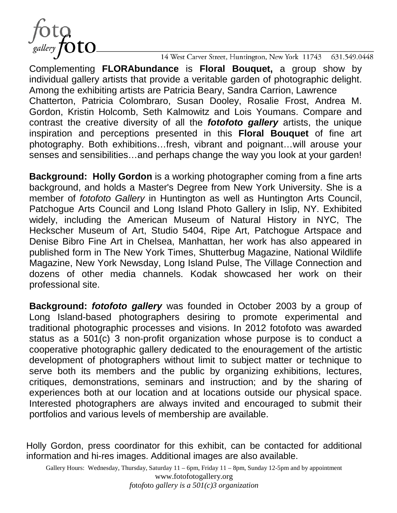fOtO<br><sub>gallery</sub> fOtO.

14 West Carver Street, Huntington, New York 11743 631.549.0448

Complementing **FLORAbundance** is **Floral Bouquet,** a group show by individual gallery artists that provide a veritable garden of photographic delight. Among the exhibiting artists are Patricia Beary, Sandra Carrion, Lawrence Chatterton, Patricia Colombraro, Susan Dooley, Rosalie Frost, Andrea M. Gordon, Kristin Holcomb, Seth Kalmowitz and Lois Youmans. Compare and contrast the creative diversity of all the *fotofoto gallery* artists, the unique inspiration and perceptions presented in this **Floral Bouquet** of fine art photography. Both exhibitions…fresh, vibrant and poignant…will arouse your senses and sensibilities…and perhaps change the way you look at your garden!

**Background: Holly Gordon** is a working photographer coming from a fine arts background, and holds a Master's Degree from New York University. She is a member of *fotofoto Gallery* in Huntington as well as Huntington Arts Council, Patchogue Arts Council and Long Island Photo Gallery in Islip, NY. Exhibited widely, including the American Museum of Natural History in NYC, The Heckscher Museum of Art, Studio 5404, Ripe Art, Patchogue Artspace and Denise Bibro Fine Art in Chelsea, Manhattan, her work has also appeared in published form in The New York Times, Shutterbug Magazine, National Wildlife Magazine, New York Newsday, Long Island Pulse, The Village Connection and dozens of other media channels. Kodak showcased her work on their professional site.

**Background:** *fotofoto gallery* was founded in October 2003 by a group of Long Island-based photographers desiring to promote experimental and traditional photographic processes and visions. In 2012 fotofoto was awarded status as a 501(c) 3 non-profit organization whose purpose is to conduct a cooperative photographic gallery dedicated to the enouragement of the artistic development of photographers without limit to subject matter or technique to serve both its members and the public by organizing exhibitions, lectures, critiques, demonstrations, seminars and instruction; and by the sharing of experiences both at our location and at locations outside our physical space. Interested photographers are always invited and encouraged to submit their portfolios and various levels of membership are available.

Holly Gordon, press coordinator for this exhibit, can be contacted for additional information and hi-res images. Additional images are also available.

Gallery Hours: Wednesday, Thursday, Saturday 11 – 6pm, Friday 11 – 8pm, Sunday 12-5pm and by appointment www.fotofotogallery.org *f*oto*f*oto *gallery is a 501(c)3 organization*